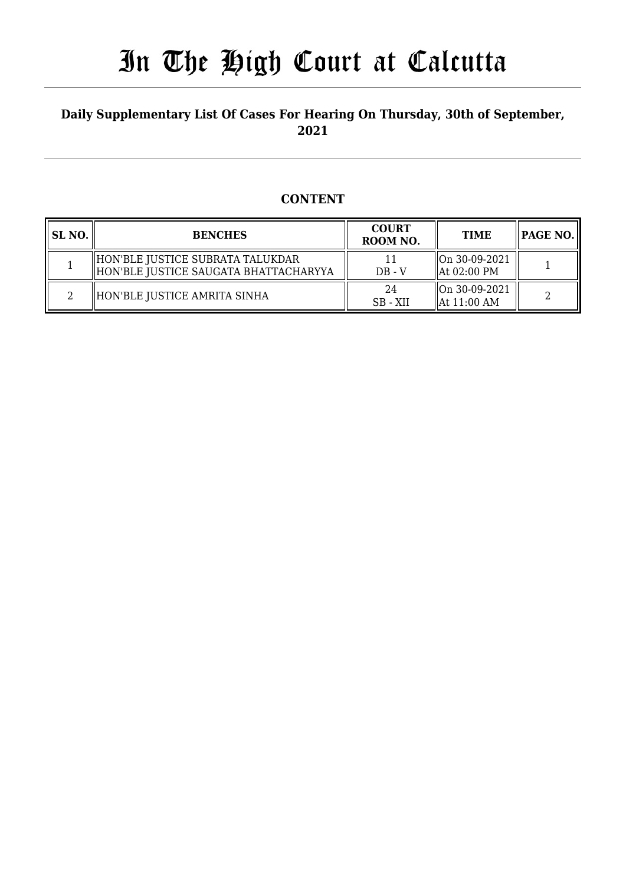## **Daily Supplementary List Of Cases For Hearing On Thursday, 30th of September, 2021**

## **CONTENT**

| <b>SL NO.</b> | <b>BENCHES</b>                                                              | <b>COURT</b><br>ROOM NO. | <b>TIME</b>                    | $\parallel$ PAGE NO. $\parallel$ |
|---------------|-----------------------------------------------------------------------------|--------------------------|--------------------------------|----------------------------------|
|               | HON'BLE JUSTICE SUBRATA TALUKDAR<br>  HON'BLE JUSTICE SAUGATA BHATTACHARYYA | $DB - V$                 | On 30-09-2021<br>  At 02:00 PM |                                  |
| ∩             | HON'BLE JUSTICE AMRITA SINHA                                                | 24<br>SB - XII           | On 30-09-2021<br>  At 11:00 AM | ∍                                |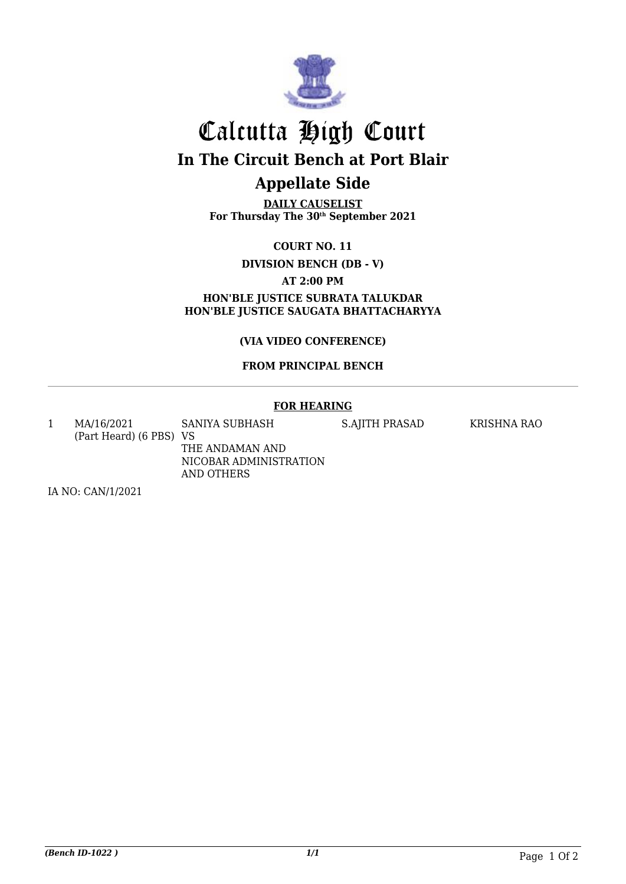

## Calcutta High Court **In The Circuit Bench at Port Blair Appellate Side**

**DAILY CAUSELIST For Thursday The 30th September 2021**

**COURT NO. 11**

**DIVISION BENCH (DB - V)**

**AT 2:00 PM**

**HON'BLE JUSTICE SUBRATA TALUKDAR HON'BLE JUSTICE SAUGATA BHATTACHARYYA**

**(VIA VIDEO CONFERENCE)**

#### **FROM PRINCIPAL BENCH**

## **FOR HEARING**

1 MA/16/2021 (Part Heard) (6 PBS) VS SANIYA SUBHASH THE ANDAMAN AND NICOBAR ADMINISTRATION

AND OTHERS

S.AJITH PRASAD KRISHNA RAO

IA NO: CAN/1/2021